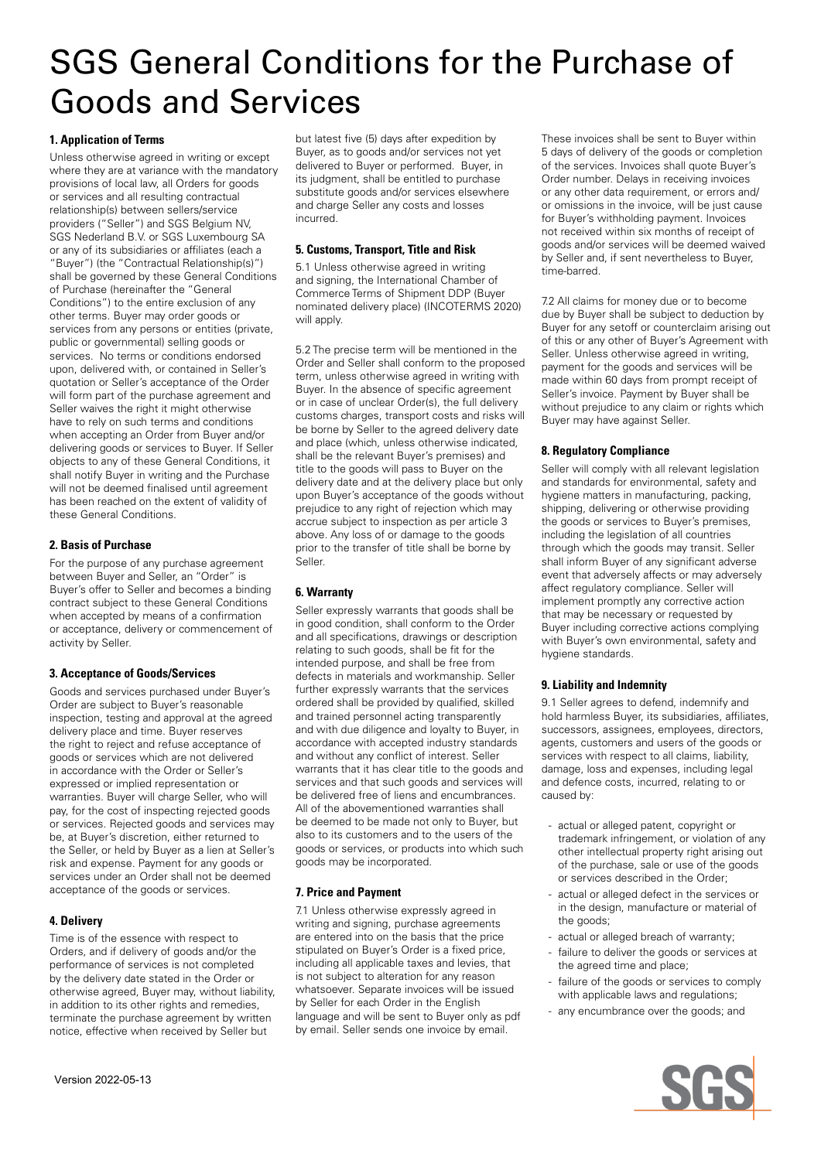# SGS General Conditions for the Purchase of Goods and Services

### **1. Application of Terms**

Unless otherwise agreed in writing or except where they are at variance with the mandatory provisions of local law, all Orders for goods or services and all resulting contractual relationship(s) between sellers/service providers ("Seller") and SGS Belgium NV, SGS Nederland B.V. or SGS Luxembourg SA or any of its subsidiaries or affiliates (each a "Buyer") (the "Contractual Relationship(s)") shall be governed by these General Conditions of Purchase (hereinafter the "General Conditions") to the entire exclusion of any other terms. Buyer may order goods or services from any persons or entities (private, public or governmental) selling goods or services. No terms or conditions endorsed upon, delivered with, or contained in Seller's quotation or Seller's acceptance of the Order will form part of the purchase agreement and Seller waives the right it might otherwise have to rely on such terms and conditions when accepting an Order from Buyer and/or delivering goods or services to Buyer. If Seller objects to any of these General Conditions, it shall notify Buyer in writing and the Purchase will not be deemed finalised until agreement has been reached on the extent of validity of these General Conditions.

## **2. Basis of Purchase**

For the purpose of any purchase agreement between Buyer and Seller, an "Order" is Buyer's offer to Seller and becomes a binding contract subject to these General Conditions when accepted by means of a confirmation or acceptance, delivery or commencement of activity by Seller.

#### **3. Acceptance of Goods/Services**

Goods and services purchased under Buyer's Order are subject to Buyer's reasonable inspection, testing and approval at the agreed delivery place and time. Buyer reserves the right to reject and refuse acceptance of goods or services which are not delivered in accordance with the Order or Seller's expressed or implied representation or warranties. Buyer will charge Seller, who will pay, for the cost of inspecting rejected goods or services. Rejected goods and services may be, at Buyer's discretion, either returned to the Seller, or held by Buyer as a lien at Seller's risk and expense. Payment for any goods or services under an Order shall not be deemed acceptance of the goods or services.

#### **4. Delivery**

Time is of the essence with respect to Orders, and if delivery of goods and/or the performance of services is not completed by the delivery date stated in the Order or otherwise agreed, Buyer may, without liability, in addition to its other rights and remedies, terminate the purchase agreement by written notice, effective when received by Seller but

but latest five (5) days after expedition by Buyer, as to goods and/or services not yet delivered to Buyer or performed. Buyer, in its judgment, shall be entitled to purchase substitute goods and/or services elsewhere and charge Seller any costs and losses incurred.

#### **5. Customs, Transport, Title and Risk**

5.1 Unless otherwise agreed in writing and signing, the International Chamber of Commerce Terms of Shipment DDP (Buyer nominated delivery place) (INCOTERMS 2020) will apply.

5.2 The precise term will be mentioned in the Order and Seller shall conform to the proposed term, unless otherwise agreed in writing with Buyer. In the absence of specific agreement or in case of unclear Order(s), the full delivery customs charges, transport costs and risks will be borne by Seller to the agreed delivery date and place (which, unless otherwise indicated, shall be the relevant Buyer's premises) and title to the goods will pass to Buyer on the delivery date and at the delivery place but only upon Buyer's acceptance of the goods without prejudice to any right of rejection which may accrue subject to inspection as per article 3 above. Any loss of or damage to the goods prior to the transfer of title shall be borne by Seller.

## **6. Warranty**

Seller expressly warrants that goods shall be in good condition, shall conform to the Order and all specifications, drawings or description relating to such goods, shall be fit for the intended purpose, and shall be free from defects in materials and workmanship. Seller further expressly warrants that the services ordered shall be provided by qualified, skilled and trained personnel acting transparently and with due diligence and loyalty to Buyer, in accordance with accepted industry standards and without any conflict of interest. Seller warrants that it has clear title to the goods and services and that such goods and services will be delivered free of liens and encumbrances. All of the abovementioned warranties shall be deemed to be made not only to Buyer, but also to its customers and to the users of the goods or services, or products into which such goods may be incorporated.

## **7. Price and Payment**

7.1 Unless otherwise expressly agreed in writing and signing, purchase agreements are entered into on the basis that the price stipulated on Buyer's Order is a fixed price, including all applicable taxes and levies, that is not subject to alteration for any reason whatsoever. Separate invoices will be issued by Seller for each Order in the English language and will be sent to Buyer only as pdf by email. Seller sends one invoice by email.

These invoices shall be sent to Buyer within 5 days of delivery of the goods or completion of the services. Invoices shall quote Buyer's Order number. Delays in receiving invoices or any other data requirement, or errors and/ or omissions in the invoice, will be just cause for Buyer's withholding payment. Invoices not received within six months of receipt of goods and/or services will be deemed waived by Seller and, if sent nevertheless to Buyer, time-barred.

7.2 All claims for money due or to become due by Buyer shall be subject to deduction by Buyer for any setoff or counterclaim arising out of this or any other of Buyer's Agreement with Seller. Unless otherwise agreed in writing, payment for the goods and services will be made within 60 days from prompt receipt of Seller's invoice. Payment by Buyer shall be without prejudice to any claim or rights which Buyer may have against Seller.

#### **8. Regulatory Compliance**

Seller will comply with all relevant legislation and standards for environmental, safety and hygiene matters in manufacturing, packing, shipping, delivering or otherwise providing the goods or services to Buyer's premises, including the legislation of all countries through which the goods may transit. Seller shall inform Buyer of any significant adverse event that adversely affects or may adversely affect regulatory compliance. Seller will implement promptly any corrective action that may be necessary or requested by Buyer including corrective actions complying with Buyer's own environmental, safety and hygiene standards.

#### **9. Liability and Indemnity**

9.1 Seller agrees to defend, indemnify and hold harmless Buyer, its subsidiaries, affiliates, successors, assignees, employees, directors, agents, customers and users of the goods or services with respect to all claims, liability, damage, loss and expenses, including legal and defence costs, incurred, relating to or caused by:

- actual or alleged patent, copyright or trademark infringement, or violation of any other intellectual property right arising out of the purchase, sale or use of the goods or services described in the Order;
- actual or alleged defect in the services or in the design, manufacture or material of the goods;
- actual or alleged breach of warranty;
- failure to deliver the goods or services at the agreed time and place;
- failure of the goods or services to comply with applicable laws and regulations;
- any encumbrance over the goods; and